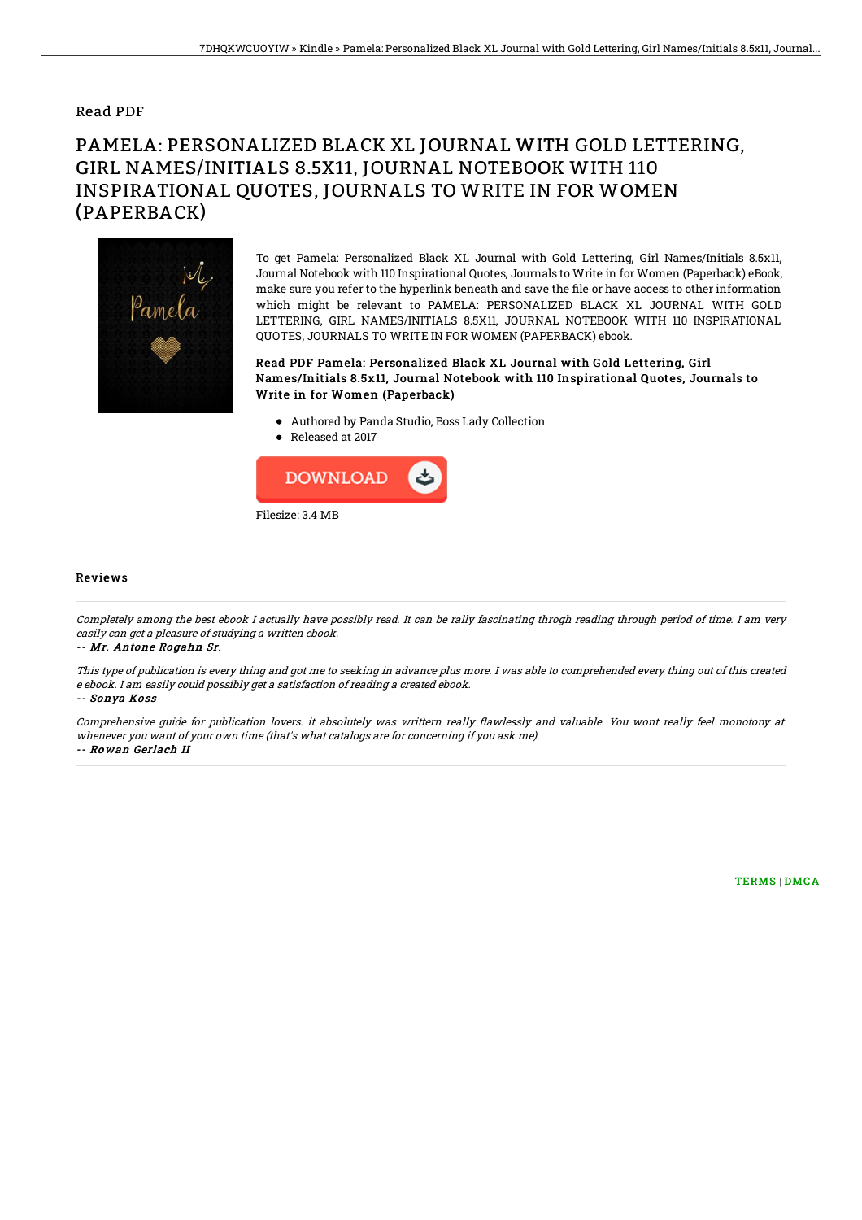### Read PDF

# PAMELA: PERSONALIZED BLACK XL JOURNAL WITH GOLD LETTERING, GIRL NAMES/INITIALS 8.5X11, JOURNAL NOTEBOOK WITH 110 INSPIRATIONAL QUOTES, JOURNALS TO WRITE IN FOR WOMEN (PAPERBACK)



To get Pamela: Personalized Black XL Journal with Gold Lettering, Girl Names/Initials 8.5x11, Journal Notebook with 110 Inspirational Quotes, Journals to Write in for Women (Paperback) eBook, make sure you refer to the hyperlink beneath and save the file or have access to other information which might be relevant to PAMELA: PERSONALIZED BLACK XL JOURNAL WITH GOLD LETTERING, GIRL NAMES/INITIALS 8.5X11, JOURNAL NOTEBOOK WITH 110 INSPIRATIONAL QUOTES, JOURNALS TO WRITE IN FOR WOMEN (PAPERBACK) ebook.

#### Read PDF Pamela: Personalized Black XL Journal with Gold Lettering, Girl Names/Initials 8.5x11, Journal Notebook with 110 Inspirational Quotes, Journals to Write in for Women (Paperback)

- Authored by Panda Studio, Boss Lady Collection
- Released at 2017



#### Reviews

Completely among the best ebook I actually have possibly read. It can be rally fascinating throgh reading through period of time. I am very easily can get <sup>a</sup> pleasure of studying <sup>a</sup> written ebook.

-- Mr. Antone Rogahn Sr.

This type of publication is every thing and got me to seeking in advance plus more. I was able to comprehended every thing out of this created <sup>e</sup> ebook. I am easily could possibly get <sup>a</sup> satisfaction of reading <sup>a</sup> created ebook.

-- Sonya Koss

Comprehensive guide for publication lovers. it absolutely was writtern really flawlessly and valuable. You wont really feel monotony at whenever you want of your own time (that's what catalogs are for concerning if you ask me). -- Rowan Gerlach II